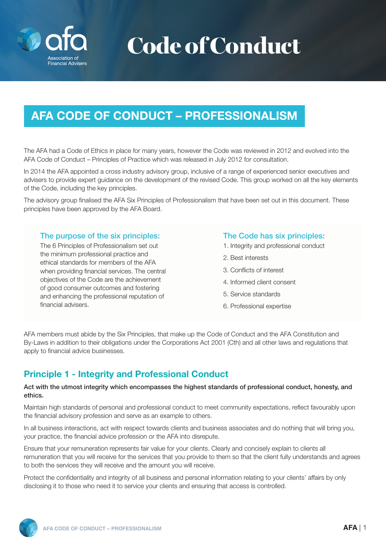

# Code of Conduct

## AFA CODE OF CONDUCT – PROFESSIONALISM

The AFA had a Code of Ethics in place for many years, however the Code was reviewed in 2012 and evolved into the AFA Code of Conduct – Principles of Practice which was released in July 2012 for consultation.

In 2014 the AFA appointed a cross industry advisory group, inclusive of a range of experienced senior executives and advisers to provide expert guidance on the development of the revised Code. This group worked on all the key elements of the Code, including the key principles.

The advisory group finalised the AFA Six Principles of Professionalism that have been set out in this document. These principles have been approved by the AFA Board.

#### The purpose of the six principles:

The 6 Principles of Professionalism set out the minimum professional practice and ethical standards for members of the AFA when providing financial services. The central objectives of the Code are the achievement of good consumer outcomes and fostering and enhancing the professional reputation of financial advisers.

#### The Code has six principles:

- 1. Integrity and professional conduct
- 2. Best interests
- 3. Conflicts of interest
- 4. Informed client consent
- 5. Service standards
- 6. Professional expertise

AFA members must abide by the Six Principles, that make up the Code of Conduct and the AFA Constitution and By-Laws in addition to their obligations under the Corporations Act 2001 (Cth) and all other laws and regulations that apply to financial advice businesses.

## Principle 1 - Integrity and Professional Conduct

#### Act with the utmost integrity which encompasses the highest standards of professional conduct, honesty, and ethics.

Maintain high standards of personal and professional conduct to meet community expectations, reflect favourably upon the financial advisory profession and serve as an example to others.

In all business interactions, act with respect towards clients and business associates and do nothing that will bring you, your practice, the financial advice profession or the AFA into disrepute.

Ensure that your remuneration represents fair value for your clients. Clearly and concisely explain to clients all remuneration that you will receive for the services that you provide to them so that the client fully understands and agrees to both the services they will receive and the amount you will receive.

Protect the confidentiality and integrity of all business and personal information relating to your clients' affairs by only disclosing it to those who need it to service your clients and ensuring that access is controlled.

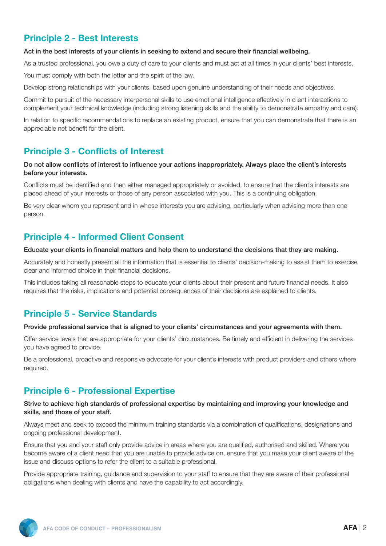## Principle 2 - Best Interests

#### Act in the best interests of your clients in seeking to extend and secure their financial wellbeing.

As a trusted professional, you owe a duty of care to your clients and must act at all times in your clients' best interests.

You must comply with both the letter and the spirit of the law.

Develop strong relationships with your clients, based upon genuine understanding of their needs and objectives.

Commit to pursuit of the necessary interpersonal skills to use emotional intelligence effectively in client interactions to complement your technical knowledge (including strong listening skills and the ability to demonstrate empathy and care).

In relation to specific recommendations to replace an existing product, ensure that you can demonstrate that there is an appreciable net benefit for the client.

## Principle 3 - Conflicts of Interest

#### Do not allow conflicts of interest to influence your actions inappropriately. Always place the client's interests before your interests.

Conflicts must be identified and then either managed appropriately or avoided, to ensure that the client's interests are placed ahead of your interests or those of any person associated with you. This is a continuing obligation.

Be very clear whom you represent and in whose interests you are advising, particularly when advising more than one person.

## Principle 4 - Informed Client Consent

#### Educate your clients in financial matters and help them to understand the decisions that they are making.

Accurately and honestly present all the information that is essential to clients' decision-making to assist them to exercise clear and informed choice in their financial decisions.

This includes taking all reasonable steps to educate your clients about their present and future financial needs. It also requires that the risks, implications and potential consequences of their decisions are explained to clients.

## Principle 5 - Service Standards

#### Provide professional service that is aligned to your clients' circumstances and your agreements with them.

Offer service levels that are appropriate for your clients' circumstances. Be timely and efficient in delivering the services you have agreed to provide.

Be a professional, proactive and responsive advocate for your client's interests with product providers and others where required.

## Principle 6 - Professional Expertise

#### Strive to achieve high standards of professional expertise by maintaining and improving your knowledge and skills, and those of your staff.

Always meet and seek to exceed the minimum training standards via a combination of qualifications, designations and ongoing professional development.

Ensure that you and your staff only provide advice in areas where you are qualified, authorised and skilled. Where you become aware of a client need that you are unable to provide advice on, ensure that you make your client aware of the issue and discuss options to refer the client to a suitable professional.

Provide appropriate training, guidance and supervision to your staff to ensure that they are aware of their professional obligations when dealing with clients and have the capability to act accordingly.